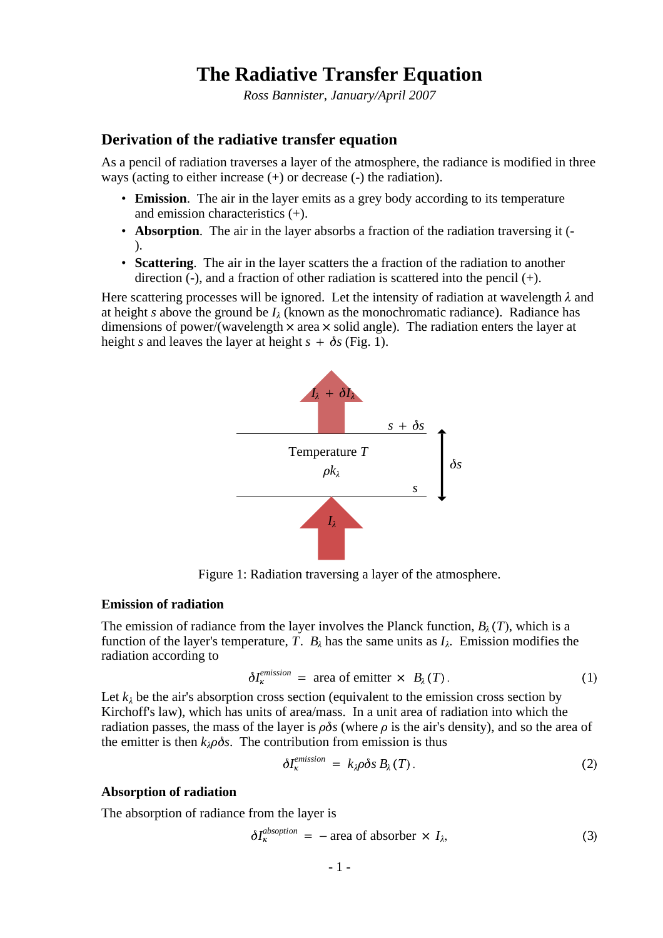# **The Radiative Transfer Equation**

*Ross Bannister, January/April 2007*

## **Derivation of the radiative transfer equation**

As a pencil of radiation traverses a layer of the atmosphere, the radiance is modified in three ways (acting to either increase (+) or decrease (-) the radiation).

- **Emission**. The air in the layer emits as a grey body according to its temperature and emission characteristics (+).
- **Absorption**. The air in the layer absorbs a fraction of the radiation traversing it (- ).
- **Scattering**. The air in the layer scatters the a fraction of the radiation to another direction  $(-)$ , and a fraction of other radiation is scattered into the pencil  $(+)$ .

Here scattering processes will be ignored. Let the intensity of radiation at wavelength  $\lambda$  and at height *s* above the ground be  $I_\lambda$  (known as the monochromatic radiance). Radiance has dimensions of power/(wavelength  $\times$  area  $\times$  solid angle). The radiation enters the layer at height *s* and leaves the layer at height  $s + \delta s$  (Fig. 1).



Figure 1: Radiation traversing a layer of the atmosphere.

#### **Emission of radiation**

The emission of radiance from the layer involves the Planck function,  $B_\lambda(T)$ , which is a function of the layer's temperature, T.  $B_\lambda$  has the same units as  $I_\lambda$ . Emission modifies the radiation according to

$$
\delta I_{\kappa}^{emission} = \text{area of emitter} \times B_{\lambda}(T). \tag{1}
$$

Let  $k_{\lambda}$  be the air's absorption cross section (equivalent to the emission cross section by Kirchoff's law), which has units of area/mass. In a unit area of radiation into which the radiation passes, the mass of the layer is  $\rho \delta s$  (where  $\rho$  is the air's density), and so the area of the emitter is then  $k_{\lambda}p\delta s$ . The contribution from emission is thus

$$
\delta I_{\kappa}^{emission} = k_{\lambda} \rho \delta s \, B_{\lambda}(T). \tag{2}
$$

#### **Absorption of radiation**

The absorption of radiance from the layer is

$$
\delta I_{\kappa}^{absoption} = -\text{area of absorber} \times I_{\lambda}, \tag{3}
$$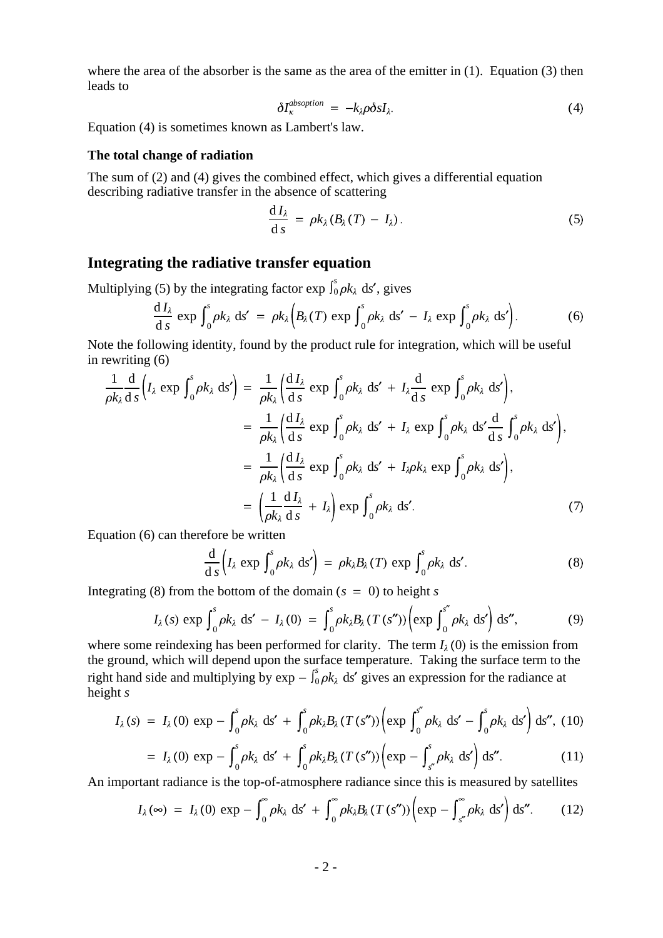where the area of the absorber is the same as the area of the emitter in (1). Equation (3) then leads to

$$
\delta I_{\kappa}^{absoption} = -k_{\lambda} \rho \delta s I_{\lambda}.
$$
\n(4)

Equation (4) is sometimes known as Lambert's law.

### **The total change of radiation**

The sum of (2) and (4) gives the combined effect, which gives a differential equation describing radiative transfer in the absence of scattering

$$
\frac{\mathrm{d}I_{\lambda}}{\mathrm{d}s} = \rho k_{\lambda} (B_{\lambda}(T) - I_{\lambda}). \tag{5}
$$

## **Integrating the radiative transfer equation**

Multiplying (5) by the integrating factor  $\exp \int_0^s \rho k_\lambda ds'$ , gives

$$
\frac{dI_{\lambda}}{ds} \exp \int_0^s \rho k_{\lambda} ds' = \rho k_{\lambda} \Big( B_{\lambda}(T) \exp \int_0^s \rho k_{\lambda} ds' - I_{\lambda} \exp \int_0^s \rho k_{\lambda} ds' \Big). \tag{6}
$$

Note the following identity, found by the product rule for integration, which will be useful in rewriting (6)

$$
\frac{1}{\rho k_{\lambda}} \frac{d}{ds} (I_{\lambda} \exp \int_{0}^{s} \rho k_{\lambda} ds') = \frac{1}{\rho k_{\lambda}} \left( \frac{dI_{\lambda}}{ds} \exp \int_{0}^{s} \rho k_{\lambda} ds' + I_{\lambda} \frac{d}{ds} \exp \int_{0}^{s} \rho k_{\lambda} ds' \right),
$$
  
\n
$$
= \frac{1}{\rho k_{\lambda}} \left( \frac{dI_{\lambda}}{ds} \exp \int_{0}^{s} \rho k_{\lambda} ds' + I_{\lambda} \exp \int_{0}^{s} \rho k_{\lambda} ds' \frac{d}{ds} \int_{0}^{s} \rho k_{\lambda} ds' \right),
$$
  
\n
$$
= \frac{1}{\rho k_{\lambda}} \left( \frac{dI_{\lambda}}{ds} \exp \int_{0}^{s} \rho k_{\lambda} ds' + I_{\lambda} \rho k_{\lambda} \exp \int_{0}^{s} \rho k_{\lambda} ds' \right),
$$
  
\n
$$
= \left( \frac{1}{\rho k_{\lambda}} \frac{dI_{\lambda}}{ds} + I_{\lambda} \right) \exp \int_{0}^{s} \rho k_{\lambda} ds'.
$$
 (7)

Equation (6) can therefore be written

$$
\frac{\mathrm{d}}{\mathrm{d}\,s}\Big(I_{\lambda}\,\exp\,\int_{0}^{s}\rho k_{\lambda}\,\mathrm{d}s'\Big) = \rho k_{\lambda}B_{\lambda}(T)\,\exp\,\int_{0}^{s}\rho k_{\lambda}\,\mathrm{d}s'.
$$
\n(8)

Integrating (8) from the bottom of the domain  $(s = 0)$  to height *s* 

$$
I_{\lambda}(s) \exp \int_0^s \rho k_{\lambda} ds' - I_{\lambda}(0) = \int_0^s \rho k_{\lambda} B_{\lambda}(T(s'')) \left( \exp \int_0^{s''} \rho k_{\lambda} ds' \right) ds'', \tag{9}
$$

where some reindexing has been performed for clarity. The term  $I_{\lambda}(0)$  is the emission from the ground, which will depend upon the surface temperature. Taking the surface term to the right hand side and multiplying by  $\exp - \int_0^s \rho k_\lambda \, ds'$  gives an expression for the radiance at height *s*

$$
I_{\lambda}(s) = I_{\lambda}(0) \exp - \int_{0}^{s} \rho k_{\lambda} \, ds' + \int_{0}^{s} \rho k_{\lambda} B_{\lambda}(T(s'')) \left( \exp \int_{0}^{s''} \rho k_{\lambda} \, ds' - \int_{0}^{s} \rho k_{\lambda} \, ds' \right) ds'', \tag{10}
$$

$$
= I_{\lambda}(0) \exp - \int_0^s \rho k_{\lambda} \, \mathrm{d}s' + \int_0^s \rho k_{\lambda} B_{\lambda}(T(s'')) \left( \exp - \int_{s''}^s \rho k_{\lambda} \, \mathrm{d}s' \right) \mathrm{d}s''.
$$
 (11)

An important radiance is the top-of-atmosphere radiance since this is measured by satellites

$$
I_{\lambda}(\infty) = I_{\lambda}(0) \exp - \int_0^{\infty} \rho k_{\lambda} \, ds' + \int_0^{\infty} \rho k_{\lambda} B_{\lambda}(T(s'')) \left( \exp - \int_{s''}^{\infty} \rho k_{\lambda} \, ds' \right) ds''.
$$
 (12)